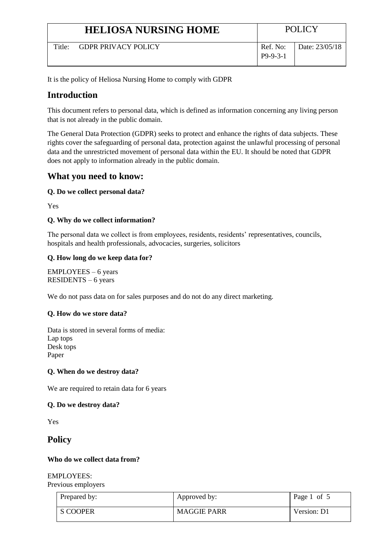|                    | <b>HELIOSA NURSING HOME</b> |                        | <b>POLICY</b>  |
|--------------------|-----------------------------|------------------------|----------------|
| Title <sup>.</sup> | <b>GDPR PRIVACY POLICY</b>  | Ref. No:<br>$P9-9-3-1$ | Date: 23/05/18 |

It is the policy of Heliosa Nursing Home to comply with GDPR

# **Introduction**

This document refers to personal data, which is defined as information concerning any living person that is not already in the public domain.

The General Data Protection (GDPR) seeks to protect and enhance the rights of data subjects. These rights cover the safeguarding of personal data, protection against the unlawful processing of personal data and the unrestricted movement of personal data within the EU. It should be noted that GDPR does not apply to information already in the public domain.

# **What you need to know:**

# **Q. Do we collect personal data?**

Yes

# **Q. Why do we collect information?**

The personal data we collect is from employees, residents, residents' representatives, councils, hospitals and health professionals, advocacies, surgeries, solicitors

# **Q. How long do we keep data for?**

EMPLOYEES – 6 years RESIDENTS – 6 years

We do not pass data on for sales purposes and do not do any direct marketing.

# **Q. How do we store data?**

Data is stored in several forms of media: Lap tops Desk tops Paper

# **Q. When do we destroy data?**

We are required to retain data for 6 years

# **Q. Do we destroy data?**

Yes

# **Policy**

# **Who do we collect data from?**

EMPLOYEES: Previous employers

| Prepared by: | Approved by:       | Page 1 of 5 |
|--------------|--------------------|-------------|
| S COOPER     | <b>MAGGIE PARR</b> | Version: D1 |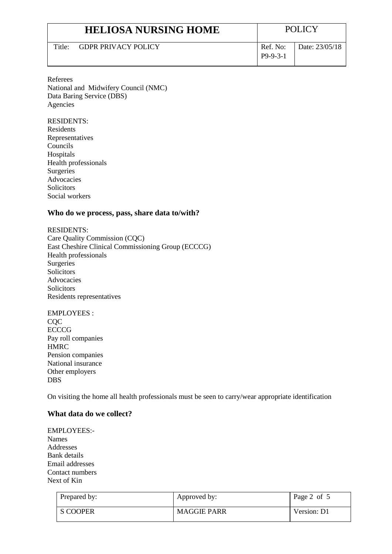|                    | <b>HELIOSA NURSING HOME</b> |                        | <b>POLICY</b>  |
|--------------------|-----------------------------|------------------------|----------------|
| Title <sup>.</sup> | <b>GDPR PRIVACY POLICY</b>  | Ref. No:<br>$P9-9-3-1$ | Date: 23/05/18 |

Referees National and Midwifery Council (NMC) Data Baring Service (DBS) Agencies

RESIDENTS: Residents Representatives Councils Hospitals Health professionals Surgeries Advocacies Solicitors Social workers

## **Who do we process, pass, share data to/with?**

RESIDENTS: Care Quality Commission (CQC) East Cheshire Clinical Commissioning Group (ECCCG) Health professionals **Surgeries** Solicitors Advocacies Solicitors Residents representatives

EMPLOYEES : C<sub>O</sub>C **ECCCG** Pay roll companies HMRC Pension companies National insurance Other employers DBS

On visiting the home all health professionals must be seen to carry/wear appropriate identification

#### **What data do we collect?**

EMPLOYEES:- Names Addresses Bank details Email addresses Contact numbers Next of Kin

| Prepared by: | Approved by:       | Page 2 of 5 |
|--------------|--------------------|-------------|
| S COOPER     | <b>MAGGIE PARR</b> | Version: D1 |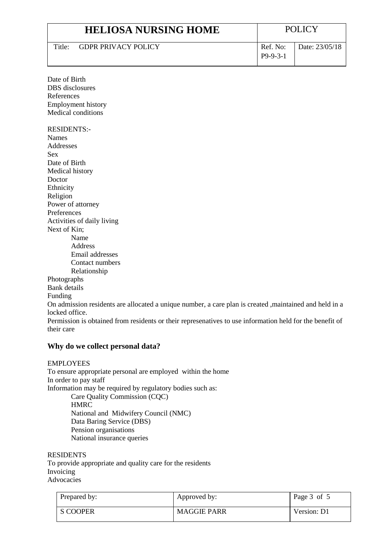|                    | <b>HELIOSA NURSING HOME</b> |                        | <b>POLICY</b>  |
|--------------------|-----------------------------|------------------------|----------------|
| Title <sup>.</sup> | <b>GDPR PRIVACY POLICY</b>  | Ref. No:<br>$P9-9-3-1$ | Date: 23/05/18 |

| Date of Birth             |
|---------------------------|
| DBS disclosures           |
| References                |
| <b>Employment history</b> |
| Medical conditions        |

RESIDENTS:- Names Addresses Sex Date of Birth Medical history Doctor Ethnicity Religion Power of attorney Preferences Activities of daily living Next of Kin; Name Address Email addresses Contact numbers Relationship Photographs Bank details Funding

On admission residents are allocated a unique number, a care plan is created ,maintained and held in a locked office.

Permission is obtained from residents or their represenatives to use information held for the benefit of their care

# **Why do we collect personal data?**

#### EMPLOYEES

To ensure appropriate personal are employed within the home In order to pay staff Information may be required by regulatory bodies such as: Care Quality Commission (CQC) **HMRC** National and Midwifery Council (NMC) Data Baring Service (DBS) Pension organisations National insurance queries

#### RESIDENTS

To provide appropriate and quality care for the residents Invoicing Advocacies

| Prepared by: | Approved by:       | Page 3 of 5 |
|--------------|--------------------|-------------|
| S COOPER     | <b>MAGGIE PARR</b> | Version: D1 |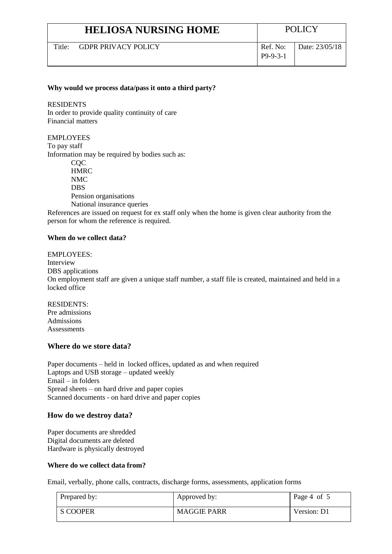| <b>HELIOSA NURSING HOME</b> |                     | <b>POLICY</b>          |                |
|-----------------------------|---------------------|------------------------|----------------|
| $T$ itle $\cdot$            | GDPR PRIVACY POLICY | Ref. No:<br>$P9-9-3-1$ | Date: 23/05/18 |

#### **Why would we process data/pass it onto a third party?**

RESIDENTS In order to provide quality continuity of care Financial matters

EMPLOYEES To pay staff Information may be required by bodies such as: **COC HMRC** NMC DBS Pension organisations National insurance queries

References are issued on request for ex staff only when the home is given clear authority from the person for whom the reference is required.

#### **When do we collect data?**

EMPLOYEES: Interview DBS applications On employment staff are given a unique staff number, a staff file is created, maintained and held in a locked office

RESIDENTS: Pre admissions Admissions **Assessments** 

## **Where do we store data?**

Paper documents – held in locked offices, updated as and when required Laptops and USB storage – updated weekly Email – in folders Spread sheets – on hard drive and paper copies Scanned documents - on hard drive and paper copies

#### **How do we destroy data?**

Paper documents are shredded Digital documents are deleted Hardware is physically destroyed

#### **Where do we collect data from?**

Email, verbally, phone calls, contracts, discharge forms, assessments, application forms

| Prepared by: | Approved by:       | Page 4 of 5 |
|--------------|--------------------|-------------|
| S COOPER     | <b>MAGGIE PARR</b> | Version: D1 |